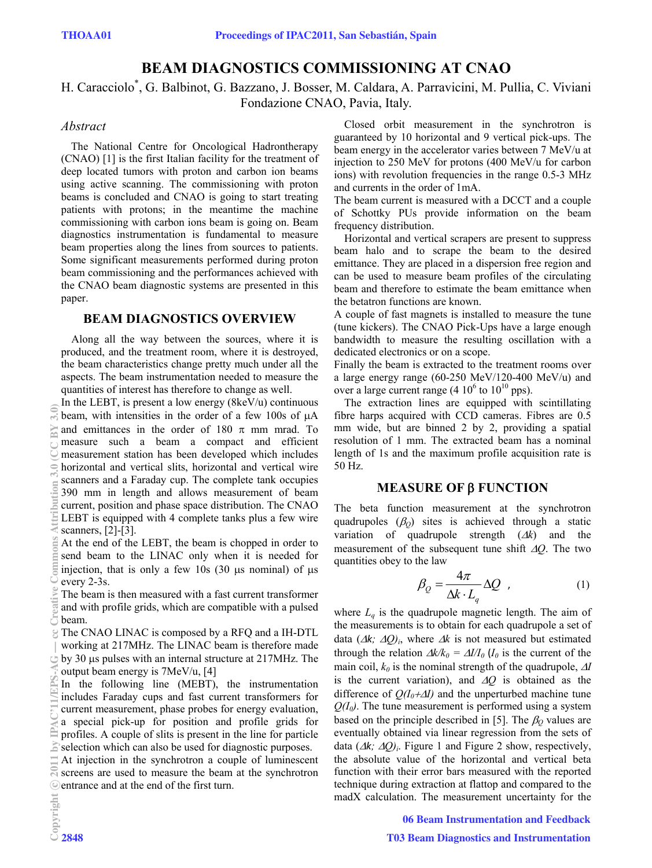# **BEAM DIAGNOSTICS COMMISSIONING AT CNAO**

H. Caracciolo\* , G. Balbinot, G. Bazzano, J. Bosser, M. Caldara, A. Parravicini, M. Pullia, C. Viviani Fondazione CNAO, Pavia, Italy.

### *Abstract*

The National Centre for Oncological Hadrontherapy (CNAO) [1] is the first Italian facility for the treatment of deep located tumors with proton and carbon ion beams using active scanning. The commissioning with proton beams is concluded and CNAO is going to start treating patients with protons; in the meantime the machine commissioning with carbon ions beam is going on. Beam diagnostics instrumentation is fundamental to measure beam properties along the lines from sources to patients. Some significant measurements performed during proton beam commissioning and the performances achieved with the CNAO beam diagnostic systems are presented in this paper.

### **BEAM DIAGNOSTICS OVERVIEW**

Along all the way between the sources, where it is produced, and the treatment room, where it is destroyed, the beam characteristics change pretty much under all the aspects. The beam instrumentation needed to measure the quantities of interest has therefore to change as well.

In the LEBT, is present a low energy  $(8keV/u)$  continuous beam, with intensities in the order of a few 100s of  $\mu A$ and emittances in the order of 180  $\pi$  mm mrad. To measure such a beam a compact and efficient measurement station has been developed which includes horizontal and vertical slits, horizontal and vertical wire scanners and a Faraday cup. The complete tank occupies 390 mm in length and allows measurement of beam current, position and phase space distribution. The CNAO LEBT is equipped with 4 complete tanks plus a few wire scanners, [2]-[3].

At the end of the LEBT, the beam is chopped in order to send beam to the LINAC only when it is needed for injection, that is only a few 10s  $(30 \text{ µs nominal})$  of  $\text{µs}$ every 2-3s.

The beam is then measured with a fast current transformer and with profile grids, which are compatible with a pulsed beam.

The CNAO LINAC is composed by a RFQ and a IH-DTL working at 217MHz. The LINAC beam is therefore made by 30  $\mu$ s pulses with an internal structure at 217MHz. The output beam energy is 7MeV/u, [4]

In the following line (MEBT), the instrumentation includes Faraday cups and fast current transformers for current measurement, phase probes for energy evaluation, a special pick-up for position and profile grids for profiles. A couple of slits is present in the line for particle selection which can also be used for diagnostic purposes.

At injection in the synchrotron a couple of luminescent  $\mathbb{R}$  screens are used to measure the beam at the synchrotron ◎ entrance and at the end of the first turn.

Closed orbit measurement in the synchrotron is guaranteed by 10 horizontal and 9 vertical pick-ups. The beam energy in the accelerator varies between 7 MeV/u at injection to 250 MeV for protons (400 MeV/u for carbon ions) with revolution frequencies in the range 0.5-3 MHz and currents in the order of 1mA.

The beam current is measured with a DCCT and a couple of Schottky PUs provide information on the beam frequency distribution.

Horizontal and vertical scrapers are present to suppress beam halo and to scrape the beam to the desired emittance. They are placed in a dispersion free region and can be used to measure beam profiles of the circulating beam and therefore to estimate the beam emittance when the betatron functions are known.

A couple of fast magnets is installed to measure the tune (tune kickers). The CNAO Pick-Ups have a large enough bandwidth to measure the resulting oscillation with a dedicated electronics or on a scope.

Finally the beam is extracted to the treatment rooms over a large energy range (60-250 MeV/120-400 MeV/u) and over a large current range (4  $10^6$  to  $10^{10}$  pps).

The extraction lines are equipped with scintillating fibre harps acquired with CCD cameras. Fibres are 0.5 mm wide, but are binned 2 by 2, providing a spatial resolution of 1 mm. The extracted beam has a nominal length of 1s and the maximum profile acquisition rate is 50 Hz.

### **MEASURE OF FUNCTION**

The beta function measurement at the synchrotron quadrupoles  $(\beta_0)$  sites is achieved through a static variation of quadrupole strength  $(\Delta k)$  and the measurement of the subsequent tune shift *Q*. The two quantities obey to the law

$$
\beta_Q = \frac{4\pi}{\Delta k \cdot L_q} \Delta Q \quad , \tag{1}
$$

where  $L_q$  is the quadrupole magnetic length. The aim of the measurements is to obtain for each quadrupole a set of data  $(Ak; AQ)$ <sub>i</sub>, where  $Ak$  is not measured but estimated through the relation  $\Delta k/k_0 = \Delta l/I_0$  (*I<sub>0</sub>* is the current of the main coil,  $k_0$  is the nominal strength of the quadrupole,  $\Delta I$ is the current variation), and  $\Delta Q$  is obtained as the difference of  $O(I_0 + \Delta I)$  and the unperturbed machine tune  $Q(I_0)$ . The tune measurement is performed using a system based on the principle described in [5]. The  $\beta_Q$  values are eventually obtained via linear regression from the sets of data  $(Ak; AQ)$ . Figure 1 and Figure 2 show, respectively, the absolute value of the horizontal and vertical beta function with their error bars measured with the reported technique during extraction at flattop and compared to the madX calculation. The measurement uncertainty for the

06 Beam Instrumentation and Feedback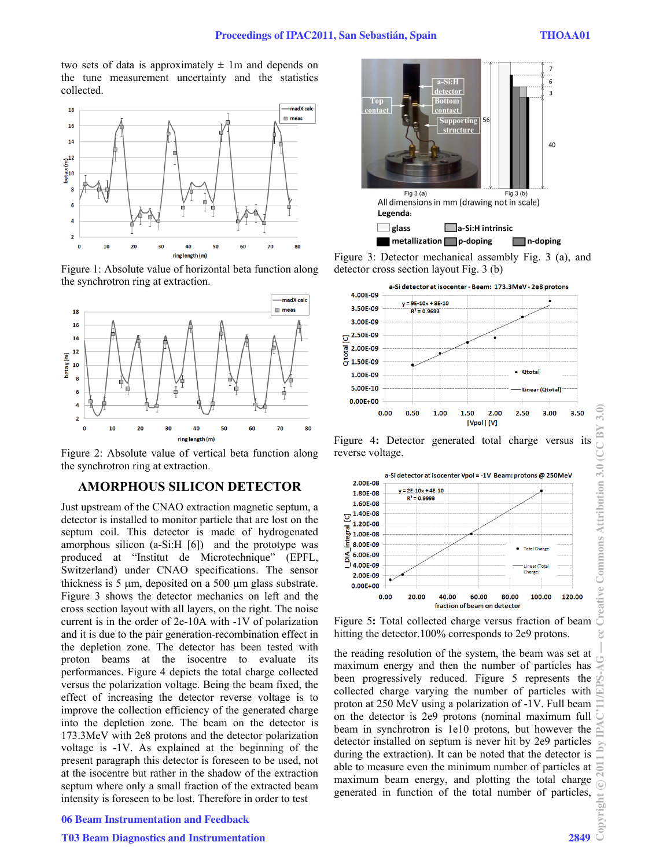two sets of data is approximately  $\pm$  1m and depends on the tune measurement uncertainty and the statistics collected.



Figure 1: Absolute value of horizontal beta function along the synchrotron ring at extraction.



Figure 2: Absolute value of vertical beta function along the synchrotron ring at extraction.

### **AMORPHOUS SILICON DETECTOR**

Just upstream of the CNAO extraction magnetic septum, a detector is installed to monitor particle that are lost on the septum coil. This detector is made of hydrogenated amorphous silicon (a-Si:H [6]) and the prototype was produced at "Institut de Microtechnique" (EPFL, Switzerland) under CNAO specifications. The sensor thickness is 5  $\mu$ m, deposited on a 500  $\mu$ m glass substrate. Figure 3 shows the detector mechanics on left and the cross section layout with all layers, on the right. The noise current is in the order of 2e-10A with -1V of polarization and it is due to the pair generation-recombination effect in the depletion zone. The detector has been tested with proton beams at the isocentre to evaluate its performances. Figure 4 depicts the total charge collected versus the polarization voltage. Being the beam fixed, the effect of increasing the detector reverse voltage is to improve the collection efficiency of the generated charge into the depletion zone. The beam on the detector is 173.3MeV with 2e8 protons and the detector polarization voltage is -1V. As explained at the beginning of the present paragraph this detector is foreseen to be used, not at the isocentre but rather in the shadow of the extraction septum where only a small fraction of the extracted beam intensity is foreseen to be lost. Therefore in order to test

#### 06 Beam Instrumentation and Feedback

### T03 Beam Diagnostics and Instrumentation 2849



Figure 3: Detector mechanical assembly Fig. 3 (a), and detector cross section layout Fig. 3 (b)



Figure 4**:** Detector generated total charge versus its reverse voltage.



Figure 5**:** Total collected charge versus fraction of beam hitting the detector.100% corresponds to 2e9 protons.

the reading resolution of the system, the beam was set at maximum energy and then the number of particles has been progressively reduced. Figure 5 represents the collected charge varying the number of particles with proton at 250 MeV using a polarization of -1V. Full beam on the detector is 2e9 protons (nominal maximum full beam in synchrotron is 1e10 protons, but however the detector installed on septum is never hit by 2e9 particles during the extraction). It can be noted that the detector is able to measure even the minimum number of particles at maximum beam energy, and plotting the total charge generated in function of the total number of particles,